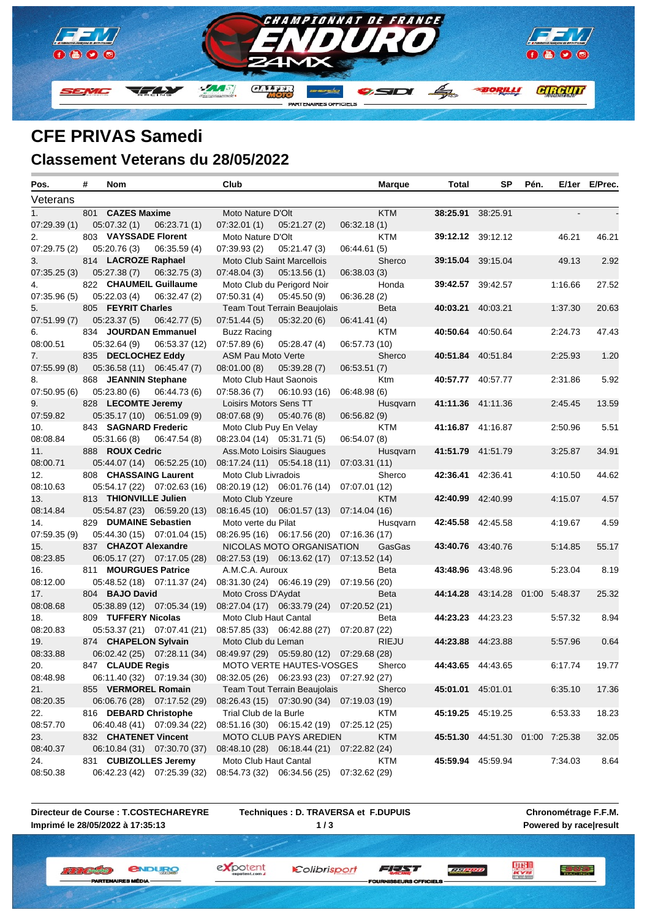

# **CFE PRIVAS Samedi**

## **Classement Veterans du 28/05/2022**

| Pos.         | # | Nom                    |                             | Club                       |                                           |               | <b>Marque</b> | Total             | SP                              | Pén. |         | E/1er E/Prec. |
|--------------|---|------------------------|-----------------------------|----------------------------|-------------------------------------------|---------------|---------------|-------------------|---------------------------------|------|---------|---------------|
| Veterans     |   |                        |                             |                            |                                           |               |               |                   |                                 |      |         |               |
| 1.           |   | 801 CAZES Maxime       |                             | Moto Nature D'Olt          |                                           |               | <b>KTM</b>    | 38:25.91 38:25.91 |                                 |      |         |               |
| 07:29.39(1)  |   | 05:07.32(1)            | 06:23.71(1)                 | 07:32.01(1)                | 05:21.27 (2)                              | 06:32.18(1)   |               |                   |                                 |      |         |               |
| 2.           |   | 803 VAYSSADE Florent   |                             | Moto Nature D'Olt          |                                           |               | KTM           |                   | 39:12.12 39:12.12               |      | 46.21   | 46.21         |
| 07:29.75 (2) |   | 05:20.76(3)            | 06:35.59(4)                 | 07:39.93(2)                | 05:21.47(3)                               | 06:44.61 (5)  |               |                   |                                 |      |         |               |
| 3.           |   | 814 LACROZE Raphael    |                             |                            | Moto Club Saint Marcellois                |               | Sherco        |                   | 39:15.04 39:15.04               |      | 49.13   | 2.92          |
| 07:35.25(3)  |   | 05:27.38(7)            | 06:32.75(3)                 | 07:48.04(3)                | 05:13.56(1)                               | 06:38.03(3)   |               |                   |                                 |      |         |               |
| 4.           |   | 822 CHAUMEIL Guillaume |                             |                            | Moto Club du Perigord Noir                |               | Honda         |                   | <b>39:42.57</b> 39:42.57        |      | 1:16.66 | 27.52         |
| 07:35.96 (5) |   | 05:22.03(4)            | 06:32.47 (2)                | 07:50.31(4)                | 05:45.50(9)                               | 06:36.28(2)   |               |                   |                                 |      |         |               |
| 5.           |   | 805 FEYRIT Charles     |                             |                            | Team Tout Terrain Beaujolais              |               | <b>Beta</b>   | 40:03.21 40:03.21 |                                 |      | 1:37.30 | 20.63         |
| 07:51.99 (7) |   | 05:23.37(5)            | 06:42.77 (5)                | 07:51.44(5)                | 05:32.20(6)                               | 06:41.41 (4)  |               |                   |                                 |      |         |               |
| 6.           |   | 834 JOURDAN Emmanuel   |                             | Buzz Racing                |                                           |               | <b>KTM</b>    |                   | 40:50.64 40:50.64               |      | 2:24.73 | 47.43         |
| 08:00.51     |   | 05:32.64(9)            | 06:53.37 (12)               | 07:57.89(6)                | 05:28.47(4)                               | 06:57.73 (10) |               |                   |                                 |      |         |               |
| 7.           |   | 835 DECLOCHEZ Eddy     |                             | ASM Pau Moto Verte         |                                           |               | Sherco        |                   | 40:51.84 40:51.84               |      | 2:25.93 | 1.20          |
| 07:55.99 (8) |   |                        | 05:36.58 (11) 06:45.47 (7)  | 08:01.00(8)                | 05:39.28(7)                               | 06:53.51(7)   |               |                   |                                 |      |         |               |
| 8.           |   | 868 JEANNIN Stephane   |                             | Moto Club Haut Saonois     |                                           |               | Ktm           |                   | 40:57.77 40:57.77               |      | 2:31.86 | 5.92          |
| 07:50.95(6)  |   | 05:23.80(6)            | 06:44.73 (6)                | 07:58.36(7)                | 06:10.93 (16)                             | 06:48.98(6)   |               |                   |                                 |      |         |               |
| 9.           |   | 828 LECOMTE Jeremy     |                             | Loisirs Motors Sens TT     |                                           |               | Husqvarn      |                   | 41:11.36 41:11.36               |      | 2:45.45 | 13.59         |
| 07:59.82     |   |                        | 05:35.17 (10) 06:51.09 (9)  | 08:07.68 (9) 05:40.76 (8)  |                                           | 06:56.82(9)   |               |                   |                                 |      |         |               |
| 10.          |   | 843 SAGNARD Frederic   |                             | Moto Club Puy En Velay     |                                           |               | KTM           |                   | 41:16.87 41:16.87               |      | 2:50.96 | 5.51          |
| 08:08.84     |   | 05:31.66(8)            | 06:47.54 (8)                | 08:23.04 (14) 05:31.71 (5) |                                           | 06:54.07(8)   |               |                   |                                 |      |         |               |
| 11.          |   | 888 ROUX Cedric        |                             |                            | Ass. Moto Loisirs Siaugues                |               | Husqvarn      |                   | 41:51.79 41:51.79               |      | 3:25.87 | 34.91         |
| 08:00.71     |   |                        | 05:44.07 (14) 06:52.25 (10) |                            | 08:17.24 (11) 05:54.18 (11)               | 07:03.31(11)  |               |                   |                                 |      |         |               |
| 12.          |   | 808 CHASSAING Laurent  |                             | Moto Club Livradois        |                                           |               | Sherco        |                   | 42:36.41 42:36.41               |      | 4:10.50 | 44.62         |
| 08:10.63     |   |                        | 05:54.17 (22) 07:02.63 (16) |                            | 08:20.19 (12) 06:01.76 (14) 07:07.01 (12) |               |               |                   |                                 |      |         |               |
| 13.          |   | 813 THIONVILLE Julien  |                             | Moto Club Yzeure           |                                           |               | <b>KTM</b>    | 42:40.99 42:40.99 |                                 |      | 4:15.07 | 4.57          |
| 08:14.84     |   |                        | 05:54.87 (23) 06:59.20 (13) |                            | 08:16.45 (10) 06:01.57 (13) 07:14.04 (16) |               |               |                   |                                 |      |         |               |
| 14.          |   | 829 DUMAINE Sebastien  |                             | Moto verte du Pilat        |                                           |               | Husqvarn      |                   | 42:45.58 42:45.58               |      | 4:19.67 | 4.59          |
| 07:59.35 (9) |   |                        | 05:44.30 (15) 07:01.04 (15) |                            | 08:26.95 (16) 06:17.56 (20) 07:16.36 (17) |               |               |                   |                                 |      |         |               |
| 15.          |   | 837 CHAZOT Alexandre   |                             |                            | NICOLAS MOTO ORGANISATION                 |               | GasGas        |                   | 43:40.76 43:40.76               |      | 5.14.85 | 55.17         |
| 08:23.85     |   |                        | 06:05.17 (27) 07:17.05 (28) |                            | 08:27.53 (19) 06:13.62 (17) 07:13.52 (14) |               |               |                   |                                 |      |         |               |
| 16.          |   | 811 MOURGUES Patrice   |                             | A.M.C.A. Auroux            |                                           |               | Beta          |                   | 43:48.96 43:48.96               |      | 5.23.04 | 8.19          |
| 08:12.00     |   |                        | 05:48.52 (18) 07:11.37 (24) |                            | 08:31.30 (24) 06:46.19 (29) 07:19.56 (20) |               |               |                   |                                 |      |         |               |
| 17.          |   | 804 BAJO David         |                             | Moto Cross D'Aydat         |                                           |               | Beta          |                   | 44:14.28 43:14.28 01:00 5:48.37 |      |         | 25.32         |
| 08:08.68     |   |                        | 05:38.89 (12) 07:05.34 (19) |                            | 08:27.04 (17) 06:33.79 (24)               | 07:20.52(21)  |               |                   |                                 |      |         |               |
| 18.          |   | 809 TUFFERY Nicolas    |                             | Moto Club Haut Cantal      |                                           |               | Beta          |                   | 44:23.23 44:23.23               |      | 5.57.32 | 8.94          |
| 08:20.83     |   |                        | 05:53.37 (21) 07:07.41 (21) |                            | 08:57.85 (33) 06:42.88 (27) 07:20.87 (22) |               |               |                   |                                 |      |         |               |
| 19.          |   | 874 CHAPELON Sylvain   |                             | Moto Club du Leman         |                                           |               | <b>RIEJU</b>  |                   | 44:23.88 44:23.88               |      | 5:57.96 | 0.64          |
| 08:33.88     |   |                        | 06:02.42 (25) 07:28.11 (34) |                            | 08:49.97 (29) 05:59.80 (12) 07:29.68 (28) |               |               |                   |                                 |      |         |               |
| 20.          |   | 847 CLAUDE Regis       |                             |                            | MOTO VERTE HAUTES-VOSGES                  |               | Sherco        | 44:43.65 44:43.65 |                                 |      | 6:17.74 | 19.77         |
| 08:48.98     |   |                        | 06:11.40 (32) 07:19.34 (30) |                            | 08:32.05 (26) 06:23.93 (23) 07:27.92 (27) |               |               |                   |                                 |      |         |               |
| 21.          |   | 855 VERMOREL Romain    |                             |                            | Team Tout Terrain Beaujolais              |               | Sherco        | 45:01.01 45:01.01 |                                 |      | 6:35.10 | 17.36         |
| 08:20.35     |   |                        | 06:06.76 (28) 07:17.52 (29) |                            | 08:26.43 (15) 07:30.90 (34) 07:19.03 (19) |               |               |                   |                                 |      |         |               |
| 22.          |   | 816 DEBARD Christophe  |                             | Trial Club de la Burle     |                                           |               | KTM           |                   | 45:19.25 45:19.25               |      | 6.53.33 | 18.23         |
| 08:57.70     |   |                        | 06:40.48 (41) 07:09.34 (22) |                            | 08:51.16 (30) 06:15.42 (19) 07:25.12 (25) |               |               |                   |                                 |      |         |               |
| 23.          |   | 832 CHATENET Vincent   |                             |                            | MOTO CLUB PAYS AREDIEN                    |               | KTM           |                   | 45:51.30 44:51.30 01:00 7:25.38 |      |         | 32.05         |
| 08:40.37     |   |                        | 06:10.84 (31) 07:30.70 (37) |                            | 08:48.10 (28) 06:18.44 (21) 07:22.82 (24) |               |               |                   |                                 |      |         |               |
| 24.          |   | 831 CUBIZOLLES Jeremy  |                             | Moto Club Haut Cantal      |                                           |               | <b>KTM</b>    |                   | 45:59.94 45:59.94               |      | 7:34.03 | 8.64          |
| 08:50.38     |   |                        | 06:42.23 (42) 07:25.39 (32) |                            | 08:54.73 (32) 06:34.56 (25) 07:32.62 (29) |               |               |                   |                                 |      |         |               |

**Directeur de Course : T.COSTECHAREYRE Imprimé le 28/05/2022 à 17:35:13**

**IBTEM** 

**Techniques : D. TRAVERSA et F.DUPUIS 1 / 3**

expotent

**Chronométrage F.F.M. Powered by race|result**

**Explore** 

*<u>ENDURO</u>* **II II (Breaster)** ES MÉDIA

Colibrisport FEAT

```
LE PRO
```
SEURS OFFICIELS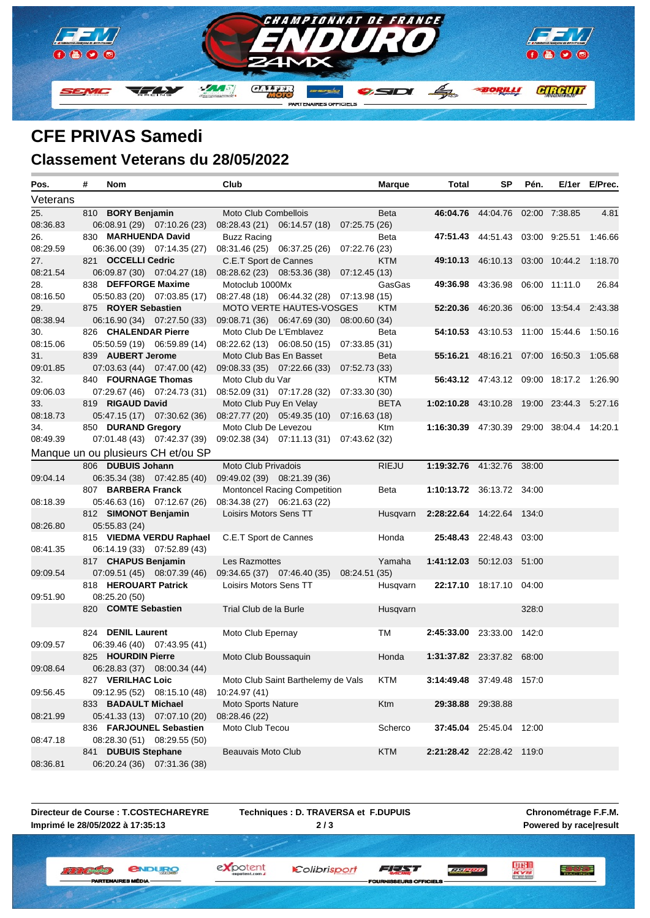

### **CFE PRIVAS Samedi Classement Veterans du 28/05/2022**

| Pos.     | # | Nom                                          |                    | Club                   |                                           |               | <b>Marque</b>     | Total                                     | SP                                      | Pén.  |                       | E/1er E/Prec. |
|----------|---|----------------------------------------------|--------------------|------------------------|-------------------------------------------|---------------|-------------------|-------------------------------------------|-----------------------------------------|-------|-----------------------|---------------|
| Veterans |   |                                              |                    |                        |                                           |               |                   |                                           |                                         |       |                       |               |
| 25.      |   | 810 BORY Benjamin                            |                    | Moto Club Combellois   |                                           |               | <b>Beta</b>       |                                           | 46:04.76 44:04.76 02:00 7:38.85         |       |                       | 4.81          |
| 08:36.83 |   | 06:08.91 (29) 07:10.26 (23)                  |                    |                        | 08:28.43 (21) 06:14.57 (18) 07:25.75 (26) |               |                   |                                           |                                         |       |                       |               |
| 26.      |   | 830 MARHUENDA David                          |                    | <b>Buzz Racing</b>     |                                           |               | Beta              |                                           | 47:51.43 44:51.43 03:00 9:25.51         |       |                       | 1:46.66       |
| 08:29.59 |   | 06:36.00 (39) 07:14.35 (27)                  |                    |                        | 08:31.46 (25) 06:37.25 (26)               | 07:22.76 (23) |                   |                                           |                                         |       |                       |               |
| 27.      |   | 821 OCCELLI Cedric                           |                    | C.E.T Sport de Cannes  |                                           |               | <b>KTM</b>        |                                           | 49:10.13 46:10.13 03:00 10:44.2 1:18.70 |       |                       |               |
| 08:21.54 |   | 06:09.87 (30) 07:04.27 (18)                  |                    |                        | 08:28.62 (23) 08:53.36 (38)               | 07:12.45 (13) |                   |                                           |                                         |       |                       |               |
| 28.      |   | 838 DEFFORGE Maxime                          |                    | Motoclub 1000Mx        |                                           |               | GasGas            | 49:36.98                                  | 43:36.98 06:00 11:11.0                  |       |                       | 26.84         |
| 08:16.50 |   | 05:50.83 (20) 07:03.85 (17)                  |                    |                        | 08:27.48 (18) 06:44.32 (28) 07:13.98 (15) |               |                   |                                           |                                         |       |                       |               |
| 29.      |   | 875 ROYER Sebastien                          |                    |                        | MOTO VERTE HAUTES-VOSGES                  |               | KTM               | 52:20.36                                  | 46:20.36 06:00 13:54.4                  |       |                       | 2:43.38       |
| 08:38.94 |   | 06:16.90 (34) 07:27.50 (33)                  |                    |                        | 09:08.71 (36) 06:47.69 (30) 08:00.60 (34) |               |                   |                                           |                                         |       |                       |               |
| 30.      |   | 826 CHALENDAR Pierre                         |                    |                        | Moto Club De L'Emblavez                   |               | Beta              |                                           | 54:10.53 43:10.53 11:00 15:44.6 1:50.16 |       |                       |               |
| 08:15.06 |   | 05:50.59 (19) 06:59.89 (14)                  |                    |                        | 08:22.62 (13) 06:08.50 (15) 07:33.85 (31) |               |                   |                                           |                                         |       |                       |               |
| 31.      |   | 839 AUBERT Jerome                            |                    |                        | Moto Club Bas En Basset                   |               | <b>Beta</b>       |                                           | <b>55:16.21</b> 48:16.21                |       | 07:00 16:50.3 1:05.68 |               |
| 09:01.85 |   | 07:03.63 (44) 07:47.00 (42)                  |                    |                        | 09:08.33 (35) 07:22.66 (33) 07:52.73 (33) |               |                   |                                           |                                         |       |                       |               |
| 32.      |   | 840 FOURNAGE Thomas                          |                    | Moto Club du Var       |                                           |               | KTM               |                                           | 56:43.12 47:43.12 09:00 18:17.2 1:26.90 |       |                       |               |
| 09:06.03 |   | 07:29.67 (46) 07:24.73 (31)                  |                    |                        | 08:52.09 (31) 07:17.28 (32) 07:33.30 (30) |               |                   |                                           |                                         |       |                       |               |
| 33.      |   | 819 RIGAUD David                             |                    |                        | Moto Club Puy En Velay                    |               | <b>BETA</b>       | 1:02:10.28 43:10.28 19:00 23:44.3 5:27.16 |                                         |       |                       |               |
| 08:18.73 |   | 05:47.15 (17) 07:30.62 (36)                  |                    |                        | 08:27.77 (20) 05:49.35 (10) 07:16.63 (18) |               |                   |                                           |                                         |       |                       |               |
| 34.      |   | 850 DURAND Gregory                           |                    | Moto Club De Levezou   |                                           |               | Ktm               | 1:16:30.39 47:30.39 29:00 38:04.4 14:20.1 |                                         |       |                       |               |
| 08:49.39 |   | 07:01.48 (43) 07:42.37 (39)                  |                    |                        | 09:02.38 (34) 07:11.13 (31) 07:43.62 (32) |               |                   |                                           |                                         |       |                       |               |
|          |   | Manque un ou plusieurs CH et/ou SP           |                    |                        |                                           |               |                   |                                           |                                         |       |                       |               |
|          |   | 806 DUBUIS Johann                            |                    | Moto Club Privadois    |                                           |               | <b>RIEJU</b>      | 1:19:32.76 41:32.76 38:00                 |                                         |       |                       |               |
| 09:04.14 |   | 06:35.34 (38) 07:42.85 (40)                  |                    |                        | 09:49.02 (39) 08:21.39 (36)               |               |                   |                                           |                                         |       |                       |               |
|          |   | 807 BARBERA Franck                           |                    |                        | <b>Montoncel Racing Competition</b>       |               | Beta              | 1:10:13.72 36:13.72 34:00                 |                                         |       |                       |               |
| 08:18.39 |   | 05:46.63 (16) 07:12.67 (26)                  |                    |                        | 08:34.38 (27) 06:21.63 (22)               |               |                   |                                           |                                         |       |                       |               |
|          |   | 812 SIMONOT Benjamin                         |                    | Loisirs Motors Sens TT |                                           |               | Husqvarn          | 2:28:22.64 14:22.64 134:0                 |                                         |       |                       |               |
| 08:26.80 |   | 05:55.83 (24)                                |                    |                        |                                           |               |                   |                                           |                                         |       |                       |               |
|          |   | 815 VIEDMA VERDU Raphael                     |                    | C.E.T Sport de Cannes  |                                           |               | Honda             |                                           | 25:48.43 22:48.43 03:00                 |       |                       |               |
| 08:41.35 |   | 06:14.19 (33) 07:52.89 (43)                  |                    |                        |                                           |               |                   |                                           |                                         |       |                       |               |
|          |   | 817 CHAPUS Benjamin                          |                    | Les Razmottes          |                                           |               | Yamaha            | 1:41:12.03 50:12.03 51:00                 |                                         |       |                       |               |
| 09:09.54 |   | 07.09.51(45) 08.07.39(46)                    |                    |                        | 09:34.65 (37) 07:46.40 (35) 08:24.51 (35) |               |                   |                                           |                                         |       |                       |               |
|          |   | 818 HEROUART Patrick                         |                    | Loisirs Motors Sens TT |                                           |               | Husqvarn          |                                           | 22:17.10 18:17.10 04:00                 |       |                       |               |
| 09:51.90 |   | 08:25.20 (50)                                |                    |                        |                                           |               |                   |                                           |                                         |       |                       |               |
|          |   | 820 COMTE Sebastien                          |                    | Trial Club de la Burle |                                           |               | Husqvarn          |                                           |                                         | 328:0 |                       |               |
|          |   |                                              |                    |                        |                                           |               |                   |                                           |                                         |       |                       |               |
|          |   | 824 DENIL Laurent                            |                    | Moto Club Epernay      |                                           |               | TM                | 2:45:33.00 23:33.00 142:0                 |                                         |       |                       |               |
| 09:09.57 |   | 06:39.46 (40) 07:43.95 (41)                  |                    |                        |                                           |               |                   |                                           |                                         |       |                       |               |
|          |   | 825 HOURDIN Pierre                           |                    | Moto Club Boussaquin   |                                           |               | Honda             | 1:31:37.82 23:37.82 68:00                 |                                         |       |                       |               |
| 09:08.64 |   | 06:28.83 (37) 08:00.34 (44)                  |                    |                        |                                           |               |                   |                                           |                                         |       |                       |               |
|          |   | 827 VERILHAC Loic                            |                    |                        | Moto Club Saint Barthelemy de Vals        |               | <b>KTM</b>        | 3:14:49.48 37:49.48 157:0                 |                                         |       |                       |               |
| 09:56.45 |   | 09:12.95 (52) 08:15.10 (48)                  |                    | 10:24.97 (41)          |                                           |               |                   |                                           |                                         |       |                       |               |
|          |   | 833 BADAULT Michael                          | Moto Sports Nature |                        |                                           | Ktm           | 29:38.88 29:38.88 |                                           |                                         |       |                       |               |
| 08:21.99 |   | 05:41.33 (13) 07:07.10 (20)<br>08:28.46 (22) |                    |                        |                                           |               |                   |                                           |                                         |       |                       |               |
|          |   | 836 FARJOUNEL Sebastien                      |                    | Moto Club Tecou        |                                           |               | Scherco           |                                           | 37:45.04 25:45.04 12:00                 |       |                       |               |
| 08:47.18 |   | 08:28.30 (51) 08:29.55 (50)                  |                    |                        |                                           |               |                   |                                           |                                         |       |                       |               |
|          |   | 841 DUBUIS Stephane                          |                    | Beauvais Moto Club     |                                           |               | <b>KTM</b>        | 2:21:28.42 22:28.42 119:0                 |                                         |       |                       |               |
| 08:36.81 |   | 06:20.24 (36) 07:31.36 (38)                  |                    |                        |                                           |               |                   |                                           |                                         |       |                       |               |

**Directeur de Course : T.COSTECHAREYRE Imprimé le 28/05/2022 à 17:35:13**

ES MÉDIA

**W. W. L. Antipolis C.** 

**IBTEM** 

**Techniques : D. TRAVERSA et F.DUPUIS 2 / 3**

Colibrisport

**Chronométrage F.F.M.**

expotent *<u>ENDURO</u>* 

SEURS OFFICIELS

FEAT

**Powered by race|result**

**Explore REPORT**